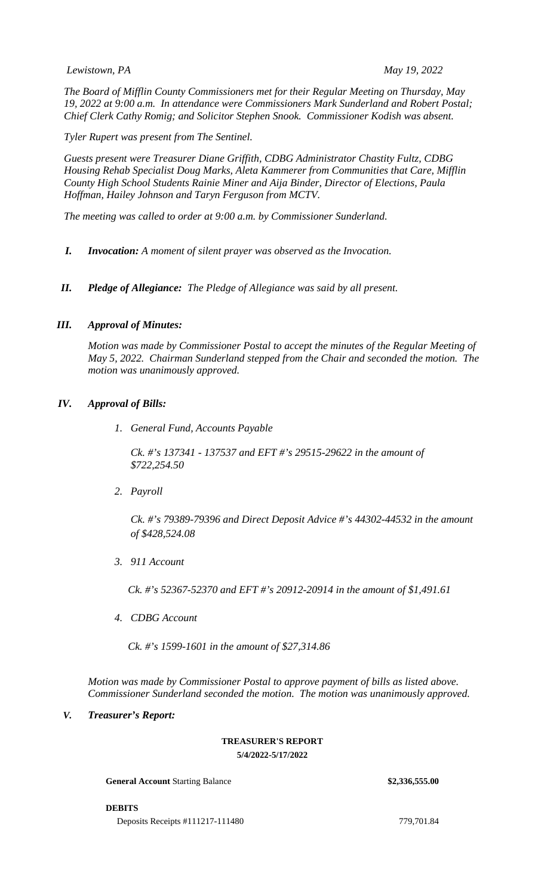## *Lewistown, PA May 19, 2022*

*The Board of Mifflin County Commissioners met for their Regular Meeting on Thursday, May 19, 2022 at 9:00 a.m. In attendance were Commissioners Mark Sunderland and Robert Postal; Chief Clerk Cathy Romig; and Solicitor Stephen Snook. Commissioner Kodish was absent.*

*Tyler Rupert was present from The Sentinel.* 

*Guests present were Treasurer Diane Griffith, CDBG Administrator Chastity Fultz, CDBG Housing Rehab Specialist Doug Marks, Aleta Kammerer from Communities that Care, Mifflin County High School Students Rainie Miner and Aija Binder, Director of Elections, Paula Hoffman, Hailey Johnson and Taryn Ferguson from MCTV.* 

*The meeting was called to order at 9:00 a.m. by Commissioner Sunderland.*

- *I. Invocation: A moment of silent prayer was observed as the Invocation.*
- *II. Pledge of Allegiance: The Pledge of Allegiance was said by all present.*

## *III. Approval of Minutes:*

*Motion was made by Commissioner Postal to accept the minutes of the Regular Meeting of May 5, 2022. Chairman Sunderland stepped from the Chair and seconded the motion. The motion was unanimously approved.* 

## *IV. Approval of Bills:*

*1. General Fund, Accounts Payable*

*Ck. #'s 137341 - 137537 and EFT #'s 29515-29622 in the amount of \$722,254.50*

*2. Payroll*

*Ck. #'s 79389-79396 and Direct Deposit Advice #'s 44302-44532 in the amount of \$428,524.08*

*3. 911 Account*

*Ck. #'s 52367-52370 and EFT #'s 20912-20914 in the amount of \$1,491.61*

*4. CDBG Account*

*Ck. #'s 1599-1601 in the amount of \$27,314.86*

*Motion was made by Commissioner Postal to approve payment of bills as listed above. Commissioner Sunderland seconded the motion. The motion was unanimously approved.*

# *V. Treasurer's Report:*

#### **TREASURER'S REPORT 5/4/2022-5/17/2022**

**General Account** Starting Balance **\$2,336,555.00**

**DEBITS**

Deposits Receipts #111217-111480 779,701.84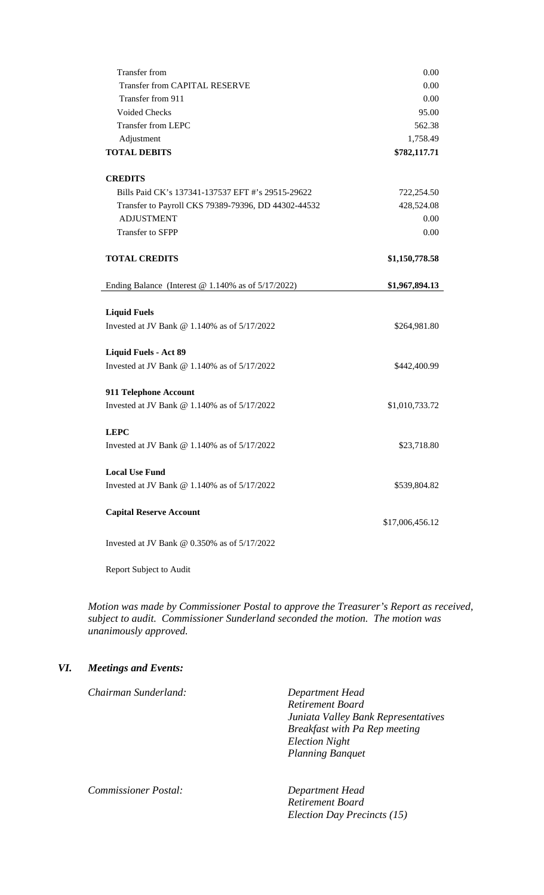| <b>Transfer from</b>                                    | 0.00            |
|---------------------------------------------------------|-----------------|
| <b>Transfer from CAPITAL RESERVE</b>                    | 0.00            |
| Transfer from 911                                       | 0.00            |
| <b>Voided Checks</b>                                    | 95.00           |
| <b>Transfer from LEPC</b>                               | 562.38          |
| Adjustment                                              | 1,758.49        |
| <b>TOTAL DEBITS</b>                                     | \$782,117.71    |
| <b>CREDITS</b>                                          |                 |
| Bills Paid CK's 137341-137537 EFT #'s 29515-29622       | 722,254.50      |
| Transfer to Payroll CKS 79389-79396, DD 44302-44532     | 428,524.08      |
| <b>ADJUSTMENT</b>                                       | 0.00            |
| Transfer to SFPP                                        | 0.00            |
| <b>TOTAL CREDITS</b>                                    | \$1,150,778.58  |
| Ending Balance (Interest $@1.140\%$ as of $5/17/2022$ ) | \$1,967,894.13  |
|                                                         |                 |
| <b>Liquid Fuels</b>                                     |                 |
| Invested at JV Bank @ 1.140\% as of $5/17/2022$         | \$264,981.80    |
| <b>Liquid Fuels - Act 89</b>                            |                 |
| Invested at JV Bank $@$ 1.140% as of $5/17/2022$        | \$442,400.99    |
| 911 Telephone Account                                   |                 |
| Invested at JV Bank $@$ 1.140% as of $5/17/2022$        | \$1,010,733.72  |
| <b>LEPC</b>                                             |                 |
| Invested at JV Bank @ 1.140\% as of $5/17/2022$         | \$23,718.80     |
|                                                         |                 |
| <b>Local Use Fund</b>                                   |                 |
| Invested at JV Bank @ 1.140% as of 5/17/2022            | \$539,804.82    |
| <b>Capital Reserve Account</b>                          |                 |
|                                                         |                 |
|                                                         | \$17,006,456.12 |

Report Subject to Audit

*Motion was made by Commissioner Postal to approve the Treasurer's Report as received, subject to audit. Commissioner Sunderland seconded the motion. The motion was unanimously approved.*

# *VI. Meetings and Events:*

*Chairman Sunderland: Department Head Retirement Board Juniata Valley Bank Representatives Breakfast with Pa Rep meeting Election Night Planning Banquet Commissioner Postal: Department Head*

*Retirement Board Election Day Precincts (15)*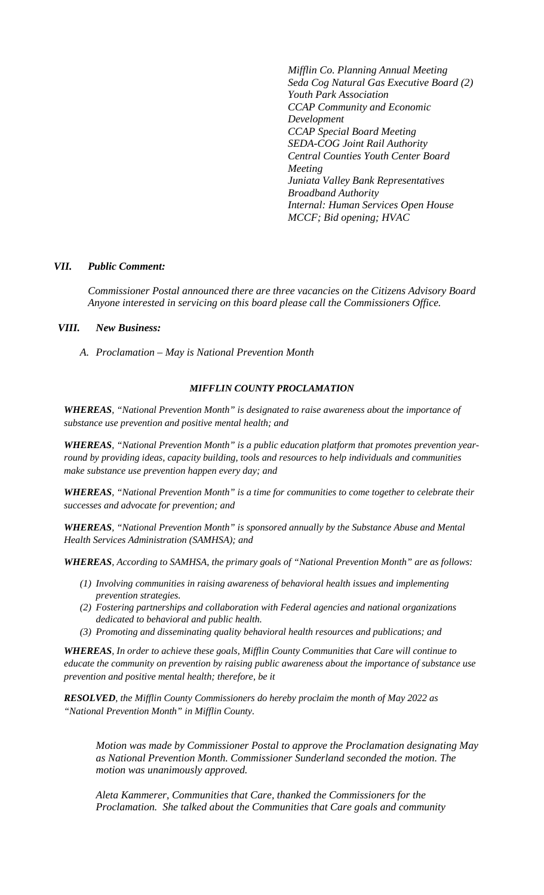*Mifflin Co. Planning Annual Meeting Seda Cog Natural Gas Executive Board (2) Youth Park Association CCAP Community and Economic Development CCAP Special Board Meeting SEDA-COG Joint Rail Authority Central Counties Youth Center Board Meeting Juniata Valley Bank Representatives Broadband Authority Internal: Human Services Open House MCCF; Bid opening; HVAC*

## *VII. Public Comment:*

*Commissioner Postal announced there are three vacancies on the Citizens Advisory Board Anyone interested in servicing on this board please call the Commissioners Office.*

## *VIII. New Business:*

*A. Proclamation – May is National Prevention Month*

## *MIFFLIN COUNTY PROCLAMATION*

*WHEREAS, "National Prevention Month" is designated to raise awareness about the importance of substance use prevention and positive mental health; and*

*WHEREAS, "National Prevention Month" is a public education platform that promotes prevention yearround by providing ideas, capacity building, tools and resources to help individuals and communities make substance use prevention happen every day; and* 

*WHEREAS, "National Prevention Month" is a time for communities to come together to celebrate their successes and advocate for prevention; and*

*WHEREAS, "National Prevention Month" is sponsored annually by the Substance Abuse and Mental Health Services Administration (SAMHSA); and*

*WHEREAS, According to SAMHSA, the primary goals of "National Prevention Month" are as follows:*

- *(1) Involving communities in raising awareness of behavioral health issues and implementing prevention strategies.*
- *(2) Fostering partnerships and collaboration with Federal agencies and national organizations dedicated to behavioral and public health.*
- *(3) Promoting and disseminating quality behavioral health resources and publications; and*

*WHEREAS, In order to achieve these goals, Mifflin County Communities that Care will continue to educate the community on prevention by raising public awareness about the importance of substance use prevention and positive mental health; therefore, be it*

*RESOLVED, the Mifflin County Commissioners do hereby proclaim the month of May 2022 as "National Prevention Month" in Mifflin County.*

*Motion was made by Commissioner Postal to approve the Proclamation designating May as National Prevention Month. Commissioner Sunderland seconded the motion. The motion was unanimously approved.*

*Aleta Kammerer, Communities that Care, thanked the Commissioners for the Proclamation. She talked about the Communities that Care goals and community*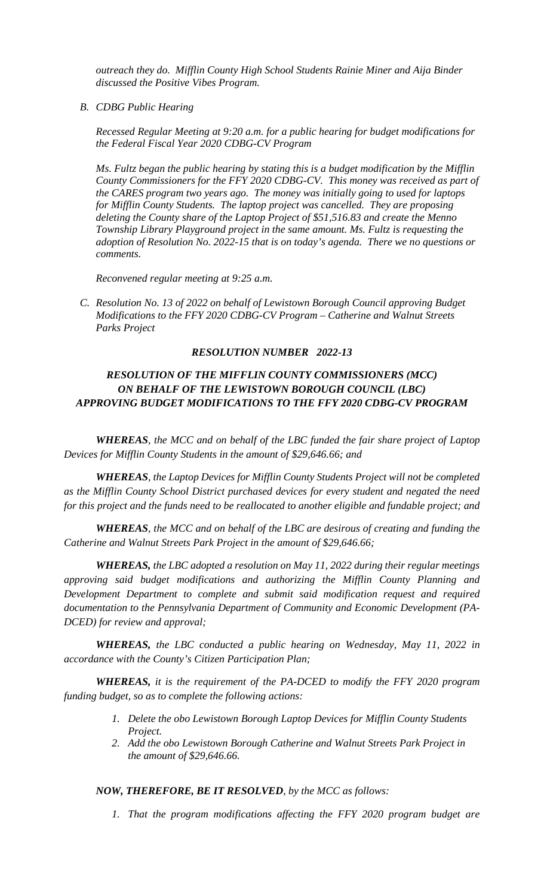*outreach they do. Mifflin County High School Students Rainie Miner and Aija Binder discussed the Positive Vibes Program.*

*B. CDBG Public Hearing*

*Recessed Regular Meeting at 9:20 a.m. for a public hearing for budget modifications for the Federal Fiscal Year 2020 CDBG-CV Program*

*Ms. Fultz began the public hearing by stating this is a budget modification by the Mifflin County Commissioners for the FFY 2020 CDBG-CV. This money was received as part of the CARES program two years ago. The money was initially going to used for laptops for Mifflin County Students. The laptop project was cancelled. They are proposing deleting the County share of the Laptop Project of \$51,516.83 and create the Menno Township Library Playground project in the same amount. Ms. Fultz is requesting the adoption of Resolution No. 2022-15 that is on today's agenda. There we no questions or comments.*

*Reconvened regular meeting at 9:25 a.m.*

*C. Resolution No. 13 of 2022 on behalf of Lewistown Borough Council approving Budget Modifications to the FFY 2020 CDBG-CV Program – Catherine and Walnut Streets Parks Project*

## *RESOLUTION NUMBER 2022-13*

# *RESOLUTION OF THE MIFFLIN COUNTY COMMISSIONERS (MCC) ON BEHALF OF THE LEWISTOWN BOROUGH COUNCIL (LBC) APPROVING BUDGET MODIFICATIONS TO THE FFY 2020 CDBG-CV PROGRAM*

*WHEREAS, the MCC and on behalf of the LBC funded the fair share project of Laptop Devices for Mifflin County Students in the amount of \$29,646.66; and*

*WHEREAS, the Laptop Devices for Mifflin County Students Project will not be completed as the Mifflin County School District purchased devices for every student and negated the need for this project and the funds need to be reallocated to another eligible and fundable project; and*

*WHEREAS, the MCC and on behalf of the LBC are desirous of creating and funding the Catherine and Walnut Streets Park Project in the amount of \$29,646.66;* 

*WHEREAS, the LBC adopted a resolution on May 11, 2022 during their regular meetings approving said budget modifications and authorizing the Mifflin County Planning and Development Department to complete and submit said modification request and required documentation to the Pennsylvania Department of Community and Economic Development (PA-DCED) for review and approval;*

*WHEREAS, the LBC conducted a public hearing on Wednesday, May 11, 2022 in accordance with the County's Citizen Participation Plan;*

*WHEREAS, it is the requirement of the PA-DCED to modify the FFY 2020 program funding budget, so as to complete the following actions:*

- *1. Delete the obo Lewistown Borough Laptop Devices for Mifflin County Students Project.*
- *2. Add the obo Lewistown Borough Catherine and Walnut Streets Park Project in the amount of \$29,646.66.*

# *NOW, THEREFORE, BE IT RESOLVED, by the MCC as follows:*

*1. That the program modifications affecting the FFY 2020 program budget are*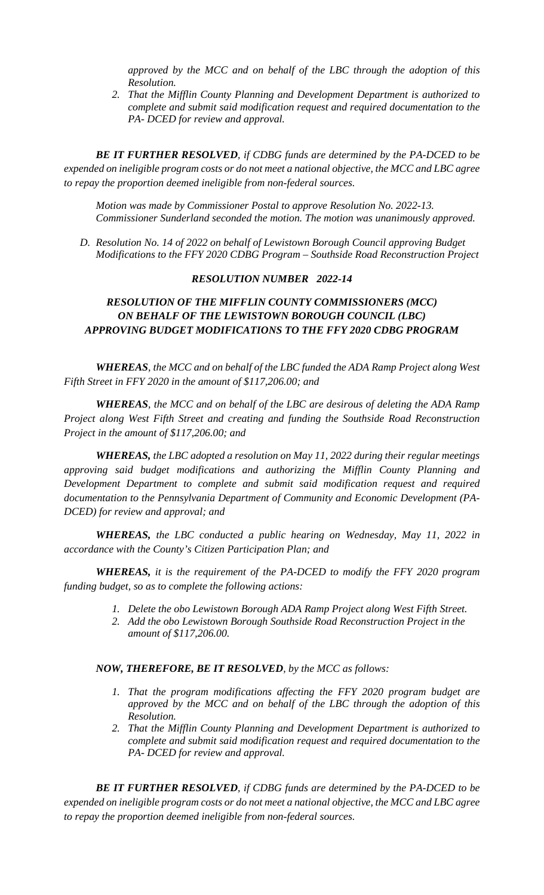*approved by the MCC and on behalf of the LBC through the adoption of this Resolution.*

*2. That the Mifflin County Planning and Development Department is authorized to complete and submit said modification request and required documentation to the PA- DCED for review and approval.*

*BE IT FURTHER RESOLVED, if CDBG funds are determined by the PA-DCED to be expended on ineligible program costs or do not meet a national objective, the MCC and LBC agree to repay the proportion deemed ineligible from non-federal sources.*

*Motion was made by Commissioner Postal to approve Resolution No. 2022-13. Commissioner Sunderland seconded the motion. The motion was unanimously approved.* 

*D. Resolution No. 14 of 2022 on behalf of Lewistown Borough Council approving Budget Modifications to the FFY 2020 CDBG Program – Southside Road Reconstruction Project*

# *RESOLUTION NUMBER 2022-14*

# *RESOLUTION OF THE MIFFLIN COUNTY COMMISSIONERS (MCC) ON BEHALF OF THE LEWISTOWN BOROUGH COUNCIL (LBC) APPROVING BUDGET MODIFICATIONS TO THE FFY 2020 CDBG PROGRAM*

*WHEREAS, the MCC and on behalf of the LBC funded the ADA Ramp Project along West Fifth Street in FFY 2020 in the amount of \$117,206.00; and*

*WHEREAS, the MCC and on behalf of the LBC are desirous of deleting the ADA Ramp Project along West Fifth Street and creating and funding the Southside Road Reconstruction Project in the amount of \$117,206.00; and*

*WHEREAS, the LBC adopted a resolution on May 11, 2022 during their regular meetings approving said budget modifications and authorizing the Mifflin County Planning and Development Department to complete and submit said modification request and required documentation to the Pennsylvania Department of Community and Economic Development (PA-DCED) for review and approval; and*

*WHEREAS, the LBC conducted a public hearing on Wednesday, May 11, 2022 in accordance with the County's Citizen Participation Plan; and*

*WHEREAS, it is the requirement of the PA-DCED to modify the FFY 2020 program funding budget, so as to complete the following actions:*

- *1. Delete the obo Lewistown Borough ADA Ramp Project along West Fifth Street.*
- *2. Add the obo Lewistown Borough Southside Road Reconstruction Project in the amount of \$117,206.00.*

#### *NOW, THEREFORE, BE IT RESOLVED, by the MCC as follows:*

- *1. That the program modifications affecting the FFY 2020 program budget are approved by the MCC and on behalf of the LBC through the adoption of this Resolution.*
- *2. That the Mifflin County Planning and Development Department is authorized to complete and submit said modification request and required documentation to the PA- DCED for review and approval.*

*BE IT FURTHER RESOLVED, if CDBG funds are determined by the PA-DCED to be expended on ineligible program costs or do not meet a national objective, the MCC and LBC agree to repay the proportion deemed ineligible from non-federal sources.*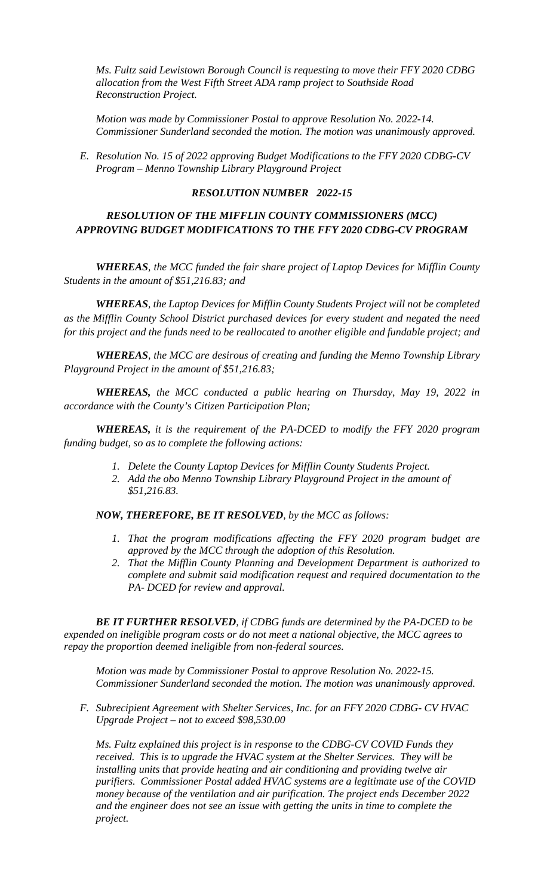*Ms. Fultz said Lewistown Borough Council is requesting to move their FFY 2020 CDBG allocation from the West Fifth Street ADA ramp project to Southside Road Reconstruction Project.* 

*Motion was made by Commissioner Postal to approve Resolution No. 2022-14. Commissioner Sunderland seconded the motion. The motion was unanimously approved.* 

*E. Resolution No. 15 of 2022 approving Budget Modifications to the FFY 2020 CDBG-CV Program – Menno Township Library Playground Project*

# *RESOLUTION NUMBER 2022-15*

# *RESOLUTION OF THE MIFFLIN COUNTY COMMISSIONERS (MCC) APPROVING BUDGET MODIFICATIONS TO THE FFY 2020 CDBG-CV PROGRAM*

*WHEREAS, the MCC funded the fair share project of Laptop Devices for Mifflin County Students in the amount of \$51,216.83; and*

*WHEREAS, the Laptop Devices for Mifflin County Students Project will not be completed as the Mifflin County School District purchased devices for every student and negated the need for this project and the funds need to be reallocated to another eligible and fundable project; and*

*WHEREAS, the MCC are desirous of creating and funding the Menno Township Library Playground Project in the amount of \$51,216.83;* 

*WHEREAS, the MCC conducted a public hearing on Thursday, May 19, 2022 in accordance with the County's Citizen Participation Plan;*

*WHEREAS, it is the requirement of the PA-DCED to modify the FFY 2020 program funding budget, so as to complete the following actions:*

- *1. Delete the County Laptop Devices for Mifflin County Students Project.*
- *2. Add the obo Menno Township Library Playground Project in the amount of \$51,216.83.*

*NOW, THEREFORE, BE IT RESOLVED, by the MCC as follows:*

- *1. That the program modifications affecting the FFY 2020 program budget are approved by the MCC through the adoption of this Resolution.*
- *2. That the Mifflin County Planning and Development Department is authorized to complete and submit said modification request and required documentation to the PA- DCED for review and approval.*

*BE IT FURTHER RESOLVED, if CDBG funds are determined by the PA-DCED to be expended on ineligible program costs or do not meet a national objective, the MCC agrees to repay the proportion deemed ineligible from non-federal sources.*

*Motion was made by Commissioner Postal to approve Resolution No. 2022-15. Commissioner Sunderland seconded the motion. The motion was unanimously approved.* 

*F. Subrecipient Agreement with Shelter Services, Inc. for an FFY 2020 CDBG- CV HVAC Upgrade Project – not to exceed \$98,530.00*

*Ms. Fultz explained this project is in response to the CDBG-CV COVID Funds they received. This is to upgrade the HVAC system at the Shelter Services. They will be installing units that provide heating and air conditioning and providing twelve air purifiers. Commissioner Postal added HVAC systems are a legitimate use of the COVID money because of the ventilation and air purification. The project ends December 2022 and the engineer does not see an issue with getting the units in time to complete the project.*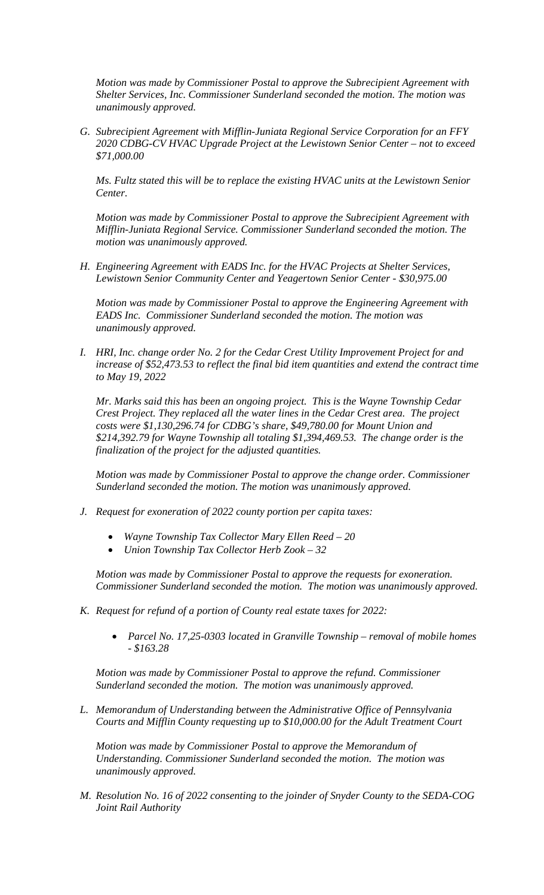*Motion was made by Commissioner Postal to approve the Subrecipient Agreement with Shelter Services, Inc. Commissioner Sunderland seconded the motion. The motion was unanimously approved.* 

*G. Subrecipient Agreement with Mifflin-Juniata Regional Service Corporation for an FFY 2020 CDBG-CV HVAC Upgrade Project at the Lewistown Senior Center – not to exceed \$71,000.00*

*Ms. Fultz stated this will be to replace the existing HVAC units at the Lewistown Senior Center.* 

*Motion was made by Commissioner Postal to approve the Subrecipient Agreement with Mifflin-Juniata Regional Service. Commissioner Sunderland seconded the motion. The motion was unanimously approved.* 

*H. Engineering Agreement with EADS Inc. for the HVAC Projects at Shelter Services, Lewistown Senior Community Center and Yeagertown Senior Center - \$30,975.00*

*Motion was made by Commissioner Postal to approve the Engineering Agreement with EADS Inc. Commissioner Sunderland seconded the motion. The motion was unanimously approved.* 

*I. HRI, Inc. change order No. 2 for the Cedar Crest Utility Improvement Project for and increase of \$52,473.53 to reflect the final bid item quantities and extend the contract time to May 19, 2022*

*Mr. Marks said this has been an ongoing project. This is the Wayne Township Cedar Crest Project. They replaced all the water lines in the Cedar Crest area. The project costs were \$1,130,296.74 for CDBG's share, \$49,780.00 for Mount Union and \$214,392.79 for Wayne Township all totaling \$1,394,469.53. The change order is the finalization of the project for the adjusted quantities.* 

*Motion was made by Commissioner Postal to approve the change order. Commissioner Sunderland seconded the motion. The motion was unanimously approved.*

- *J. Request for exoneration of 2022 county portion per capita taxes:*
	- *Wayne Township Tax Collector Mary Ellen Reed – 20*
	- *Union Township Tax Collector Herb Zook – 32*

*Motion was made by Commissioner Postal to approve the requests for exoneration. Commissioner Sunderland seconded the motion. The motion was unanimously approved.*

- *K. Request for refund of a portion of County real estate taxes for 2022:*
	- *Parcel No. 17,25-0303 located in Granville Township – removal of mobile homes - \$163.28*

*Motion was made by Commissioner Postal to approve the refund. Commissioner Sunderland seconded the motion. The motion was unanimously approved.*

*L. Memorandum of Understanding between the Administrative Office of Pennsylvania Courts and Mifflin County requesting up to \$10,000.00 for the Adult Treatment Court*

*Motion was made by Commissioner Postal to approve the Memorandum of Understanding. Commissioner Sunderland seconded the motion. The motion was unanimously approved.*

*M. Resolution No. 16 of 2022 consenting to the joinder of Snyder County to the SEDA-COG Joint Rail Authority*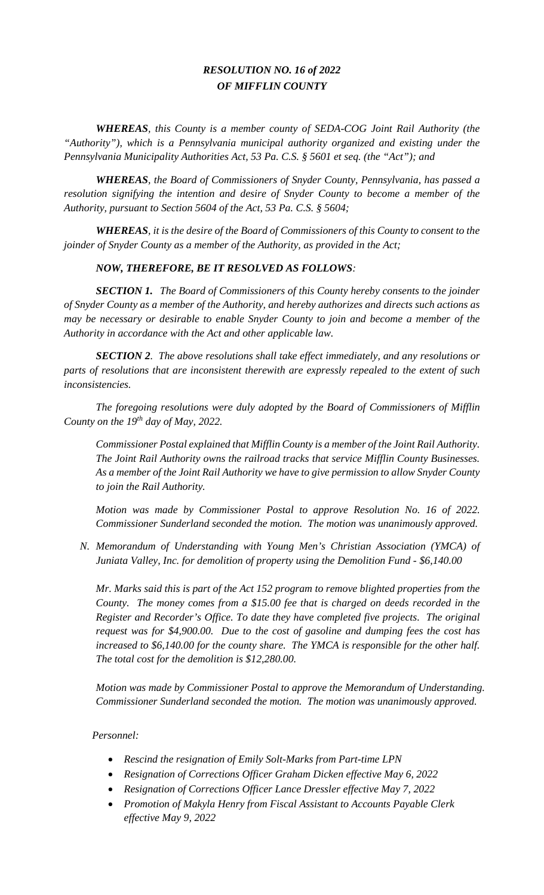# *RESOLUTION NO. 16 of 2022 OF MIFFLIN COUNTY*

*WHEREAS, this County is a member county of SEDA-COG Joint Rail Authority (the "Authority"), which is a Pennsylvania municipal authority organized and existing under the Pennsylvania Municipality Authorities Act, 53 Pa. C.S. § 5601 et seq. (the "Act"); and*

*WHEREAS, the Board of Commissioners of Snyder County, Pennsylvania, has passed a resolution signifying the intention and desire of Snyder County to become a member of the Authority, pursuant to Section 5604 of the Act, 53 Pa. C.S. § 5604;*

*WHEREAS, it is the desire of the Board of Commissioners of this County to consent to the joinder of Snyder County as a member of the Authority, as provided in the Act;*

## *NOW, THEREFORE, BE IT RESOLVED AS FOLLOWS:*

*SECTION 1. The Board of Commissioners of this County hereby consents to the joinder of Snyder County as a member of the Authority, and hereby authorizes and directs such actions as may be necessary or desirable to enable Snyder County to join and become a member of the Authority in accordance with the Act and other applicable law.* 

*SECTION 2. The above resolutions shall take effect immediately, and any resolutions or parts of resolutions that are inconsistent therewith are expressly repealed to the extent of such inconsistencies.*

*The foregoing resolutions were duly adopted by the Board of Commissioners of Mifflin County on the 19th day of May, 2022.*

*Commissioner Postal explained that Mifflin County is a member of the Joint Rail Authority. The Joint Rail Authority owns the railroad tracks that service Mifflin County Businesses. As a member of the Joint Rail Authority we have to give permission to allow Snyder County to join the Rail Authority.*

*Motion was made by Commissioner Postal to approve Resolution No. 16 of 2022. Commissioner Sunderland seconded the motion. The motion was unanimously approved.*

*N. Memorandum of Understanding with Young Men's Christian Association (YMCA) of Juniata Valley, Inc. for demolition of property using the Demolition Fund - \$6,140.00*

*Mr. Marks said this is part of the Act 152 program to remove blighted properties from the County. The money comes from a \$15.00 fee that is charged on deeds recorded in the Register and Recorder's Office. To date they have completed five projects. The original request was for \$4,900.00. Due to the cost of gasoline and dumping fees the cost has increased to \$6,140.00 for the county share. The YMCA is responsible for the other half. The total cost for the demolition is \$12,280.00.* 

*Motion was made by Commissioner Postal to approve the Memorandum of Understanding. Commissioner Sunderland seconded the motion. The motion was unanimously approved.*

#### *Personnel:*

- *Rescind the resignation of Emily Solt-Marks from Part-time LPN*
- *Resignation of Corrections Officer Graham Dicken effective May 6, 2022*
- *Resignation of Corrections Officer Lance Dressler effective May 7, 2022*
- *Promotion of Makyla Henry from Fiscal Assistant to Accounts Payable Clerk effective May 9, 2022*